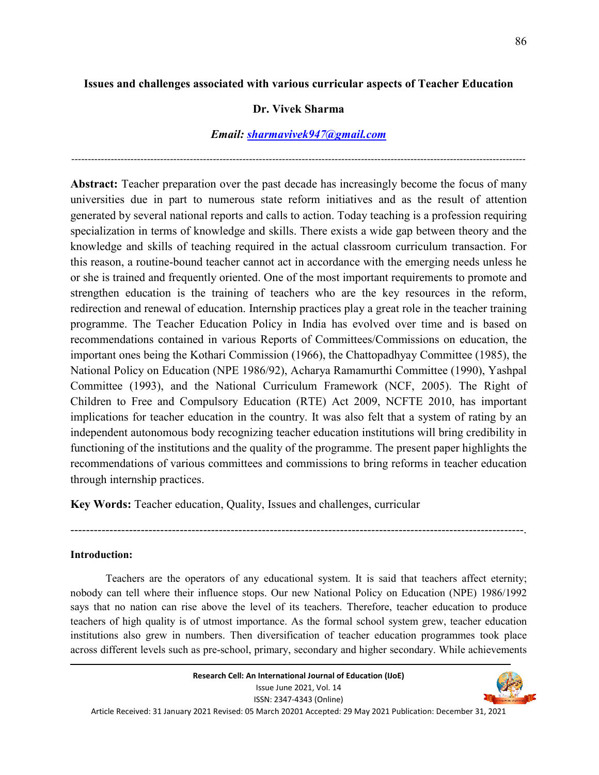## **Issues and challenges associated with various curricular aspects of Teacher Education**

#### **Dr. Vivek Sharma**

## *Email: sharmavivek947@gmail.com*

------------------------------------------------------------------------------------------------------------------------------------------

**Abstract:** Teacher preparation over the past decade has increasingly become the focus of many universities due in part to numerous state reform initiatives and as the result of attention generated by several national reports and calls to action. Today teaching is a profession requiring specialization in terms of knowledge and skills. There exists a wide gap between theory and the knowledge and skills of teaching required in the actual classroom curriculum transaction. For this reason, a routine-bound teacher cannot act in accordance with the emerging needs unless he or she is trained and frequently oriented. One of the most important requirements to promote and strengthen education is the training of teachers who are the key resources in the reform, redirection and renewal of education. Internship practices play a great role in the teacher training programme. The Teacher Education Policy in India has evolved over time and is based on recommendations contained in various Reports of Committees/Commissions on education, the important ones being the Kothari Commission (1966), the Chattopadhyay Committee (1985), the National Policy on Education (NPE 1986/92), Acharya Ramamurthi Committee (1990), Yashpal Committee (1993), and the National Curriculum Framework (NCF, 2005). The Right of Children to Free and Compulsory Education (RTE) Act 2009, NCFTE 2010, has important implications for teacher education in the country. It was also felt that a system of rating by an independent autonomous body recognizing teacher education institutions will bring credibility in functioning of the institutions and the quality of the programme. The present paper highlights the recommendations of various committees and commissions to bring reforms in teacher education through internship practices.

**Key Words:** Teacher education, Quality, Issues and challenges, curricular

**Introduction:**

 Teachers are the operators of any educational system. It is said that teachers affect eternity; nobody can tell where their influence stops. Our new National Policy on Education (NPE) 1986/1992 says that no nation can rise above the level of its teachers. Therefore, teacher education to produce teachers of high quality is of utmost importance. As the formal school system grew, teacher education institutions also grew in numbers. Then diversification of teacher education programmes took place across different levels such as pre-school, primary, secondary and higher secondary. While achievements

--------------------------------------------------------------------------------------------------------------------.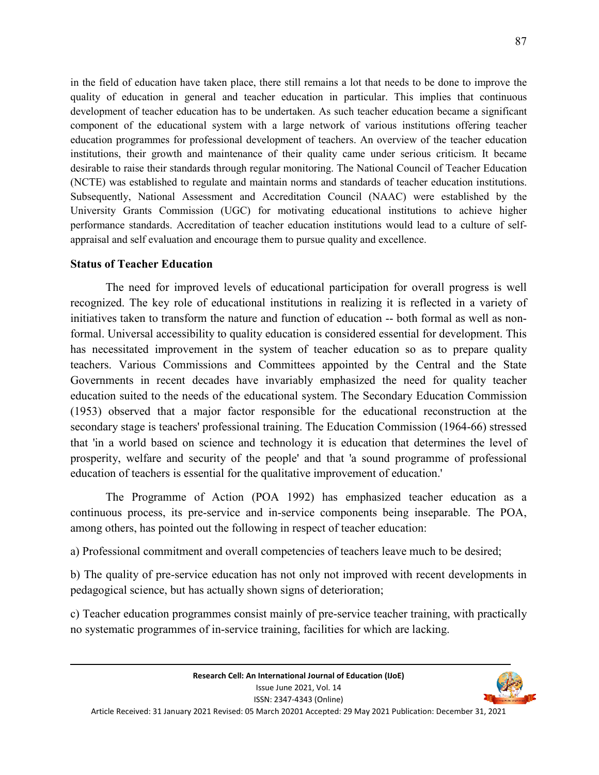in the field of education have taken place, there still remains a lot that needs to be done to improve the quality of education in general and teacher education in particular. This implies that continuous development of teacher education has to be undertaken. As such teacher education became a significant component of the educational system with a large network of various institutions offering teacher education programmes for professional development of teachers. An overview of the teacher education institutions, their growth and maintenance of their quality came under serious criticism. It became desirable to raise their standards through regular monitoring. The National Council of Teacher Education (NCTE) was established to regulate and maintain norms and standards of teacher education institutions. Subsequently, National Assessment and Accreditation Council (NAAC) were established by the University Grants Commission (UGC) for motivating educational institutions to achieve higher performance standards. Accreditation of teacher education institutions would lead to a culture of selfappraisal and self evaluation and encourage them to pursue quality and excellence.

#### **Status of Teacher Education**

 The need for improved levels of educational participation for overall progress is well recognized. The key role of educational institutions in realizing it is reflected in a variety of initiatives taken to transform the nature and function of education -- both formal as well as nonformal. Universal accessibility to quality education is considered essential for development. This has necessitated improvement in the system of teacher education so as to prepare quality teachers. Various Commissions and Committees appointed by the Central and the State Governments in recent decades have invariably emphasized the need for quality teacher education suited to the needs of the educational system. The Secondary Education Commission (1953) observed that a major factor responsible for the educational reconstruction at the secondary stage is teachers' professional training. The Education Commission (1964-66) stressed that 'in a world based on science and technology it is education that determines the level of prosperity, welfare and security of the people' and that 'a sound programme of professional education of teachers is essential for the qualitative improvement of education.'

 The Programme of Action (POA 1992) has emphasized teacher education as a continuous process, its pre-service and in-service components being inseparable. The POA, among others, has pointed out the following in respect of teacher education:

a) Professional commitment and overall competencies of teachers leave much to be desired;

b) The quality of pre-service education has not only not improved with recent developments in pedagogical science, but has actually shown signs of deterioration;

c) Teacher education programmes consist mainly of pre-service teacher training, with practically no systematic programmes of in-service training, facilities for which are lacking.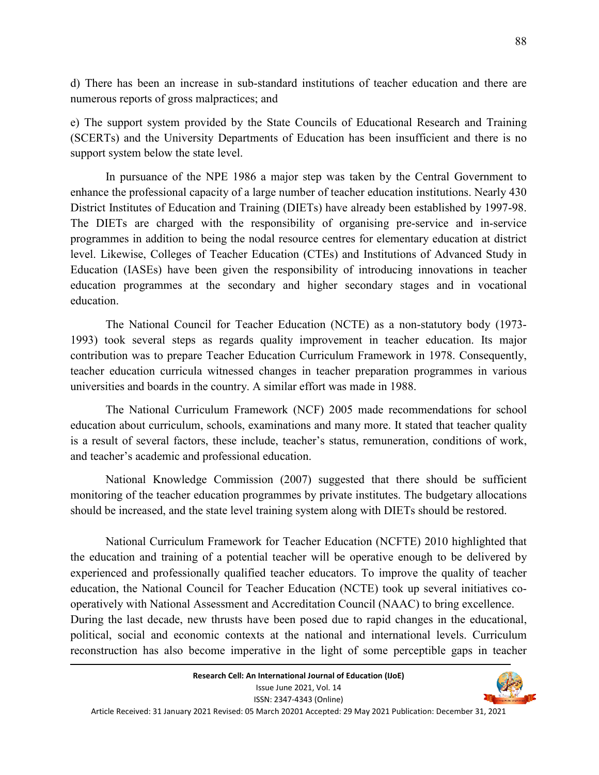d) There has been an increase in sub-standard institutions of teacher education and there are numerous reports of gross malpractices; and

e) The support system provided by the State Councils of Educational Research and Training (SCERTs) and the University Departments of Education has been insufficient and there is no support system below the state level.

 In pursuance of the NPE 1986 a major step was taken by the Central Government to enhance the professional capacity of a large number of teacher education institutions. Nearly 430 District Institutes of Education and Training (DIETs) have already been established by 1997-98. The DIETs are charged with the responsibility of organising pre-service and in-service programmes in addition to being the nodal resource centres for elementary education at district level. Likewise, Colleges of Teacher Education (CTEs) and Institutions of Advanced Study in Education (IASEs) have been given the responsibility of introducing innovations in teacher education programmes at the secondary and higher secondary stages and in vocational education.

The National Council for Teacher Education (NCTE) as a non-statutory body (1973- 1993) took several steps as regards quality improvement in teacher education. Its major contribution was to prepare Teacher Education Curriculum Framework in 1978. Consequently, teacher education curricula witnessed changes in teacher preparation programmes in various universities and boards in the country. A similar effort was made in 1988.

 The National Curriculum Framework (NCF) 2005 made recommendations for school education about curriculum, schools, examinations and many more. It stated that teacher quality is a result of several factors, these include, teacher's status, remuneration, conditions of work, and teacher's academic and professional education.

National Knowledge Commission (2007) suggested that there should be sufficient monitoring of the teacher education programmes by private institutes. The budgetary allocations should be increased, and the state level training system along with DIETs should be restored.

National Curriculum Framework for Teacher Education (NCFTE) 2010 highlighted that the education and training of a potential teacher will be operative enough to be delivered by experienced and professionally qualified teacher educators. To improve the quality of teacher education, the National Council for Teacher Education (NCTE) took up several initiatives cooperatively with National Assessment and Accreditation Council (NAAC) to bring excellence. During the last decade, new thrusts have been posed due to rapid changes in the educational, political, social and economic contexts at the national and international levels. Curriculum reconstruction has also become imperative in the light of some perceptible gaps in teacher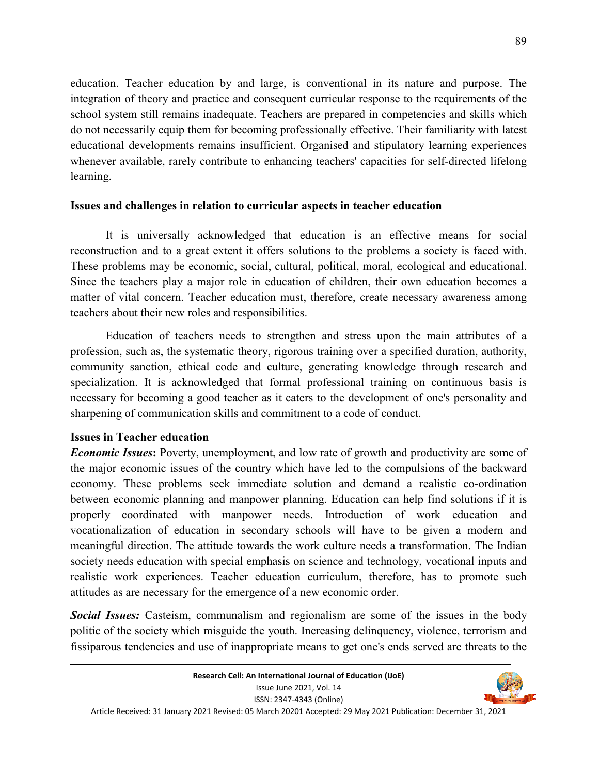education. Teacher education by and large, is conventional in its nature and purpose. The integration of theory and practice and consequent curricular response to the requirements of the school system still remains inadequate. Teachers are prepared in competencies and skills which do not necessarily equip them for becoming professionally effective. Their familiarity with latest educational developments remains insufficient. Organised and stipulatory learning experiences whenever available, rarely contribute to enhancing teachers' capacities for self-directed lifelong learning.

#### **Issues and challenges in relation to curricular aspects in teacher education**

It is universally acknowledged that education is an effective means for social reconstruction and to a great extent it offers solutions to the problems a society is faced with. These problems may be economic, social, cultural, political, moral, ecological and educational. Since the teachers play a major role in education of children, their own education becomes a matter of vital concern. Teacher education must, therefore, create necessary awareness among teachers about their new roles and responsibilities.

 Education of teachers needs to strengthen and stress upon the main attributes of a profession, such as, the systematic theory, rigorous training over a specified duration, authority, community sanction, ethical code and culture, generating knowledge through research and specialization. It is acknowledged that formal professional training on continuous basis is necessary for becoming a good teacher as it caters to the development of one's personality and sharpening of communication skills and commitment to a code of conduct.

#### **Issues in Teacher education**

*Economic Issues*: Poverty, unemployment, and low rate of growth and productivity are some of the major economic issues of the country which have led to the compulsions of the backward economy. These problems seek immediate solution and demand a realistic co-ordination between economic planning and manpower planning. Education can help find solutions if it is properly coordinated with manpower needs. Introduction of work education and vocationalization of education in secondary schools will have to be given a modern and meaningful direction. The attitude towards the work culture needs a transformation. The Indian society needs education with special emphasis on science and technology, vocational inputs and realistic work experiences. Teacher education curriculum, therefore, has to promote such attitudes as are necessary for the emergence of a new economic order.

*Social Issues:* Casteism, communalism and regionalism are some of the issues in the body politic of the society which misguide the youth. Increasing delinquency, violence, terrorism and fissiparous tendencies and use of inappropriate means to get one's ends served are threats to the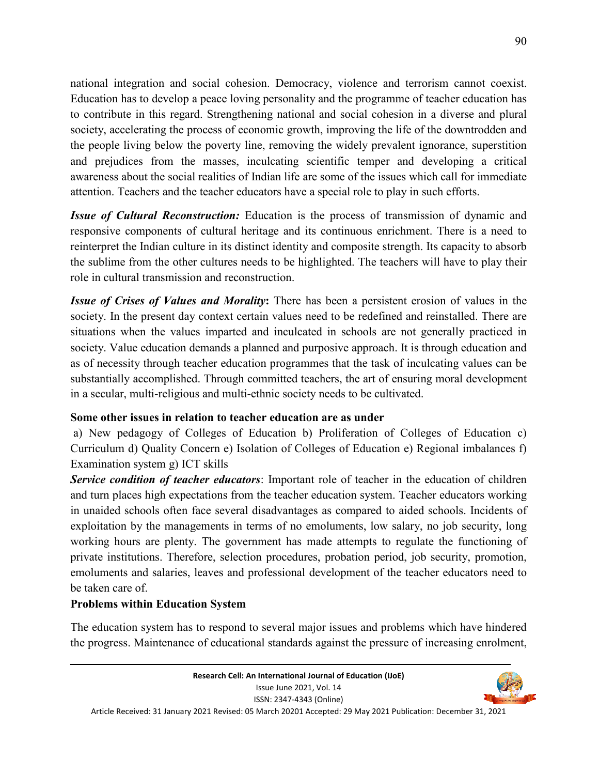national integration and social cohesion. Democracy, violence and terrorism cannot coexist. Education has to develop a peace loving personality and the programme of teacher education has to contribute in this regard. Strengthening national and social cohesion in a diverse and plural society, accelerating the process of economic growth, improving the life of the downtrodden and the people living below the poverty line, removing the widely prevalent ignorance, superstition and prejudices from the masses, inculcating scientific temper and developing a critical awareness about the social realities of Indian life are some of the issues which call for immediate attention. Teachers and the teacher educators have a special role to play in such efforts.

*Issue of Cultural Reconstruction:* Education is the process of transmission of dynamic and responsive components of cultural heritage and its continuous enrichment. There is a need to reinterpret the Indian culture in its distinct identity and composite strength. Its capacity to absorb the sublime from the other cultures needs to be highlighted. The teachers will have to play their role in cultural transmission and reconstruction.

*Issue of Crises of Values and Morality***:** There has been a persistent erosion of values in the society. In the present day context certain values need to be redefined and reinstalled. There are situations when the values imparted and inculcated in schools are not generally practiced in society. Value education demands a planned and purposive approach. It is through education and as of necessity through teacher education programmes that the task of inculcating values can be substantially accomplished. Through committed teachers, the art of ensuring moral development in a secular, multi-religious and multi-ethnic society needs to be cultivated.

## **Some other issues in relation to teacher education are as under**

 a) New pedagogy of Colleges of Education b) Proliferation of Colleges of Education c) Curriculum d) Quality Concern e) Isolation of Colleges of Education e) Regional imbalances f) Examination system g) ICT skills

*Service condition of teacher educators*: Important role of teacher in the education of children and turn places high expectations from the teacher education system. Teacher educators working in unaided schools often face several disadvantages as compared to aided schools. Incidents of exploitation by the managements in terms of no emoluments, low salary, no job security, long working hours are plenty. The government has made attempts to regulate the functioning of private institutions. Therefore, selection procedures, probation period, job security, promotion, emoluments and salaries, leaves and professional development of the teacher educators need to be taken care of.

#### **Problems within Education System**

The education system has to respond to several major issues and problems which have hindered the progress. Maintenance of educational standards against the pressure of increasing enrolment,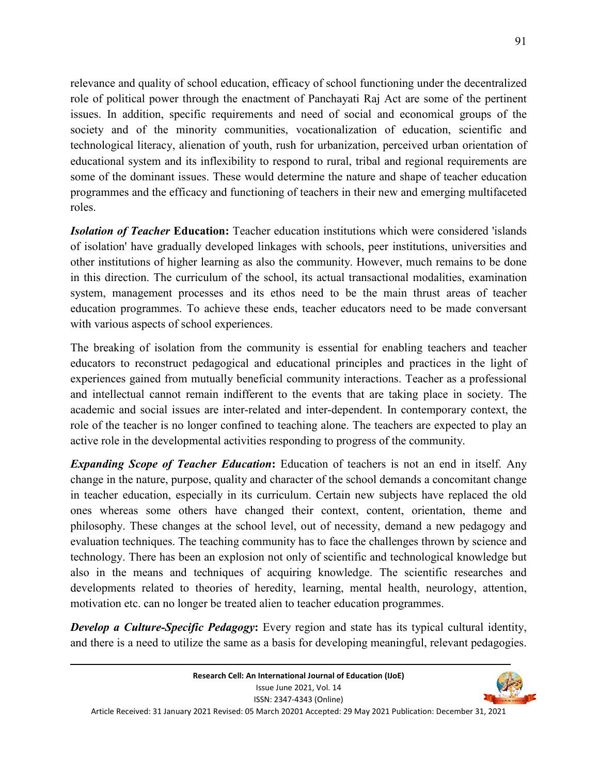relevance and quality of school education, efficacy of school functioning under the decentralized role of political power through the enactment of Panchayati Raj Act are some of the pertinent issues. In addition, specific requirements and need of social and economical groups of the society and of the minority communities, vocationalization of education, scientific and technological literacy, alienation of youth, rush for urbanization, perceived urban orientation of educational system and its inflexibility to respond to rural, tribal and regional requirements are some of the dominant issues. These would determine the nature and shape of teacher education programmes and the efficacy and functioning of teachers in their new and emerging multifaceted roles.

*Isolation of Teacher* **Education:** Teacher education institutions which were considered 'islands of isolation' have gradually developed linkages with schools, peer institutions, universities and other institutions of higher learning as also the community. However, much remains to be done in this direction. The curriculum of the school, its actual transactional modalities, examination system, management processes and its ethos need to be the main thrust areas of teacher education programmes. To achieve these ends, teacher educators need to be made conversant with various aspects of school experiences.

The breaking of isolation from the community is essential for enabling teachers and teacher educators to reconstruct pedagogical and educational principles and practices in the light of experiences gained from mutually beneficial community interactions. Teacher as a professional and intellectual cannot remain indifferent to the events that are taking place in society. The academic and social issues are inter-related and inter-dependent. In contemporary context, the role of the teacher is no longer confined to teaching alone. The teachers are expected to play an active role in the developmental activities responding to progress of the community.

*Expanding Scope of Teacher Education***:** Education of teachers is not an end in itself. Any change in the nature, purpose, quality and character of the school demands a concomitant change in teacher education, especially in its curriculum. Certain new subjects have replaced the old ones whereas some others have changed their context, content, orientation, theme and philosophy. These changes at the school level, out of necessity, demand a new pedagogy and evaluation techniques. The teaching community has to face the challenges thrown by science and technology. There has been an explosion not only of scientific and technological knowledge but also in the means and techniques of acquiring knowledge. The scientific researches and developments related to theories of heredity, learning, mental health, neurology, attention, motivation etc. can no longer be treated alien to teacher education programmes.

*Develop a Culture-Specific Pedagogy***:** Every region and state has its typical cultural identity, and there is a need to utilize the same as a basis for developing meaningful, relevant pedagogies.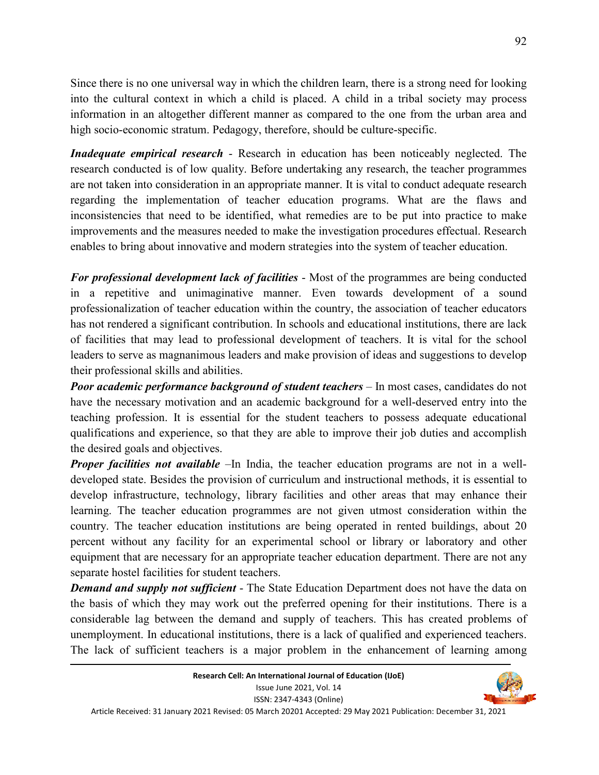Since there is no one universal way in which the children learn, there is a strong need for looking into the cultural context in which a child is placed. A child in a tribal society may process information in an altogether different manner as compared to the one from the urban area and high socio-economic stratum. Pedagogy, therefore, should be culture-specific.

*Inadequate empirical research* - Research in education has been noticeably neglected. The research conducted is of low quality. Before undertaking any research, the teacher programmes are not taken into consideration in an appropriate manner. It is vital to conduct adequate research regarding the implementation of teacher education programs. What are the flaws and inconsistencies that need to be identified, what remedies are to be put into practice to make improvements and the measures needed to make the investigation procedures effectual. Research enables to bring about innovative and modern strategies into the system of teacher education.

*For professional development lack of facilities* - Most of the programmes are being conducted in a repetitive and unimaginative manner. Even towards development of a sound professionalization of teacher education within the country, the association of teacher educators has not rendered a significant contribution. In schools and educational institutions, there are lack of facilities that may lead to professional development of teachers. It is vital for the school leaders to serve as magnanimous leaders and make provision of ideas and suggestions to develop their professional skills and abilities.

*Poor academic performance background of student teachers* – In most cases, candidates do not have the necessary motivation and an academic background for a well-deserved entry into the teaching profession. It is essential for the student teachers to possess adequate educational qualifications and experience, so that they are able to improve their job duties and accomplish the desired goals and objectives.

*Proper facilities not available* –In India, the teacher education programs are not in a welldeveloped state. Besides the provision of curriculum and instructional methods, it is essential to develop infrastructure, technology, library facilities and other areas that may enhance their learning. The teacher education programmes are not given utmost consideration within the country. The teacher education institutions are being operated in rented buildings, about 20 percent without any facility for an experimental school or library or laboratory and other equipment that are necessary for an appropriate teacher education department. There are not any separate hostel facilities for student teachers.

*Demand and supply not sufficient* - The State Education Department does not have the data on the basis of which they may work out the preferred opening for their institutions. There is a considerable lag between the demand and supply of teachers. This has created problems of unemployment. In educational institutions, there is a lack of qualified and experienced teachers. The lack of sufficient teachers is a major problem in the enhancement of learning among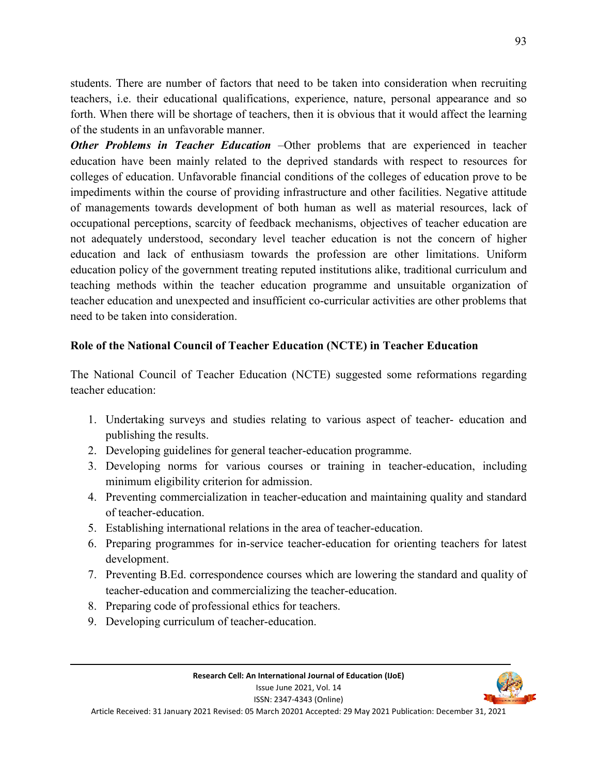students. There are number of factors that need to be taken into consideration when recruiting teachers, i.e. their educational qualifications, experience, nature, personal appearance and so forth. When there will be shortage of teachers, then it is obvious that it would affect the learning of the students in an unfavorable manner.

*Other Problems in Teacher Education* –Other problems that are experienced in teacher education have been mainly related to the deprived standards with respect to resources for colleges of education. Unfavorable financial conditions of the colleges of education prove to be impediments within the course of providing infrastructure and other facilities. Negative attitude of managements towards development of both human as well as material resources, lack of occupational perceptions, scarcity of feedback mechanisms, objectives of teacher education are not adequately understood, secondary level teacher education is not the concern of higher education and lack of enthusiasm towards the profession are other limitations. Uniform education policy of the government treating reputed institutions alike, traditional curriculum and teaching methods within the teacher education programme and unsuitable organization of teacher education and unexpected and insufficient co-curricular activities are other problems that need to be taken into consideration.

## **Role of the National Council of Teacher Education (NCTE) in Teacher Education**

The National Council of Teacher Education (NCTE) suggested some reformations regarding teacher education:

- 1. Undertaking surveys and studies relating to various aspect of teacher- education and publishing the results.
- 2. Developing guidelines for general teacher-education programme.
- 3. Developing norms for various courses or training in teacher-education, including minimum eligibility criterion for admission.
- 4. Preventing commercialization in teacher-education and maintaining quality and standard of teacher-education.
- 5. Establishing international relations in the area of teacher-education.
- 6. Preparing programmes for in-service teacher-education for orienting teachers for latest development.
- 7. Preventing B.Ed. correspondence courses which are lowering the standard and quality of teacher-education and commercializing the teacher-education.
- 8. Preparing code of professional ethics for teachers.
- 9. Developing curriculum of teacher-education.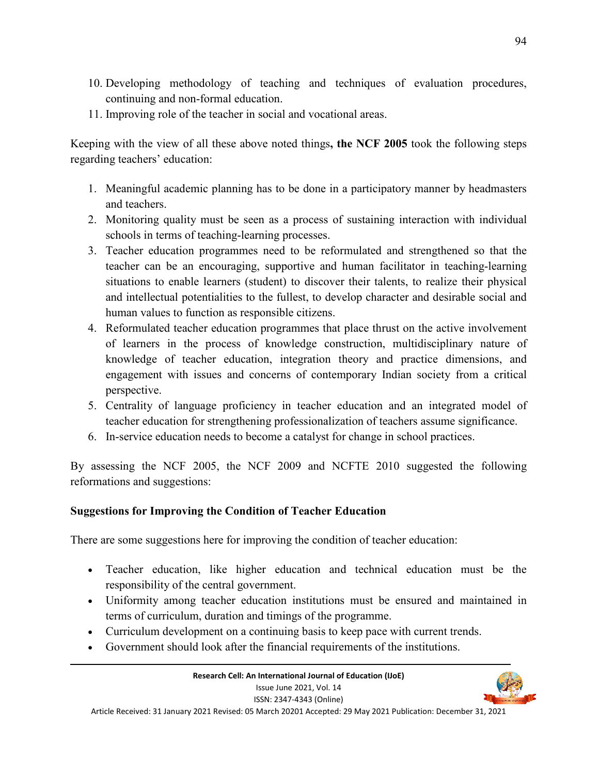- 10. Developing methodology of teaching and techniques of evaluation procedures, continuing and non-formal education.
- 11. Improving role of the teacher in social and vocational areas.

Keeping with the view of all these above noted things**, the NCF 2005** took the following steps regarding teachers' education:

- 1. Meaningful academic planning has to be done in a participatory manner by headmasters and teachers.
- 2. Monitoring quality must be seen as a process of sustaining interaction with individual schools in terms of teaching-learning processes.
- 3. Teacher education programmes need to be reformulated and strengthened so that the teacher can be an encouraging, supportive and human facilitator in teaching-learning situations to enable learners (student) to discover their talents, to realize their physical and intellectual potentialities to the fullest, to develop character and desirable social and human values to function as responsible citizens.
- 4. Reformulated teacher education programmes that place thrust on the active involvement of learners in the process of knowledge construction, multidisciplinary nature of knowledge of teacher education, integration theory and practice dimensions, and engagement with issues and concerns of contemporary Indian society from a critical perspective.
- 5. Centrality of language proficiency in teacher education and an integrated model of teacher education for strengthening professionalization of teachers assume significance.
- 6. In-service education needs to become a catalyst for change in school practices.

By assessing the NCF 2005, the NCF 2009 and NCFTE 2010 suggested the following reformations and suggestions:

# **Suggestions for Improving the Condition of Teacher Education**

There are some suggestions here for improving the condition of teacher education:

- Teacher education, like higher education and technical education must be the responsibility of the central government.
- Uniformity among teacher education institutions must be ensured and maintained in terms of curriculum, duration and timings of the programme.
- Curriculum development on a continuing basis to keep pace with current trends.
- Government should look after the financial requirements of the institutions.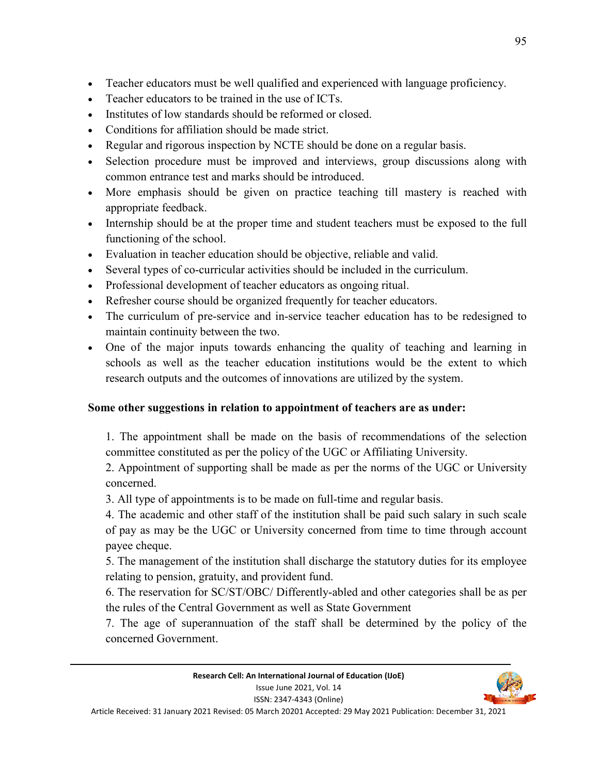- Teacher educators must be well qualified and experienced with language proficiency.
- Teacher educators to be trained in the use of ICTs.
- Institutes of low standards should be reformed or closed.
- Conditions for affiliation should be made strict.
- Regular and rigorous inspection by NCTE should be done on a regular basis.
- Selection procedure must be improved and interviews, group discussions along with common entrance test and marks should be introduced.
- More emphasis should be given on practice teaching till mastery is reached with appropriate feedback.
- Internship should be at the proper time and student teachers must be exposed to the full functioning of the school.
- Evaluation in teacher education should be objective, reliable and valid.
- Several types of co-curricular activities should be included in the curriculum.
- Professional development of teacher educators as ongoing ritual.
- Refresher course should be organized frequently for teacher educators.
- The curriculum of pre-service and in-service teacher education has to be redesigned to maintain continuity between the two.
- One of the major inputs towards enhancing the quality of teaching and learning in schools as well as the teacher education institutions would be the extent to which research outputs and the outcomes of innovations are utilized by the system.

# **Some other suggestions in relation to appointment of teachers are as under:**

1. The appointment shall be made on the basis of recommendations of the selection committee constituted as per the policy of the UGC or Affiliating University.

2. Appointment of supporting shall be made as per the norms of the UGC or University concerned.

3. All type of appointments is to be made on full-time and regular basis.

4. The academic and other staff of the institution shall be paid such salary in such scale of pay as may be the UGC or University concerned from time to time through account payee cheque.

5. The management of the institution shall discharge the statutory duties for its employee relating to pension, gratuity, and provident fund.

6. The reservation for SC/ST/OBC/ Differently-abled and other categories shall be as per the rules of the Central Government as well as State Government

7. The age of superannuation of the staff shall be determined by the policy of the concerned Government.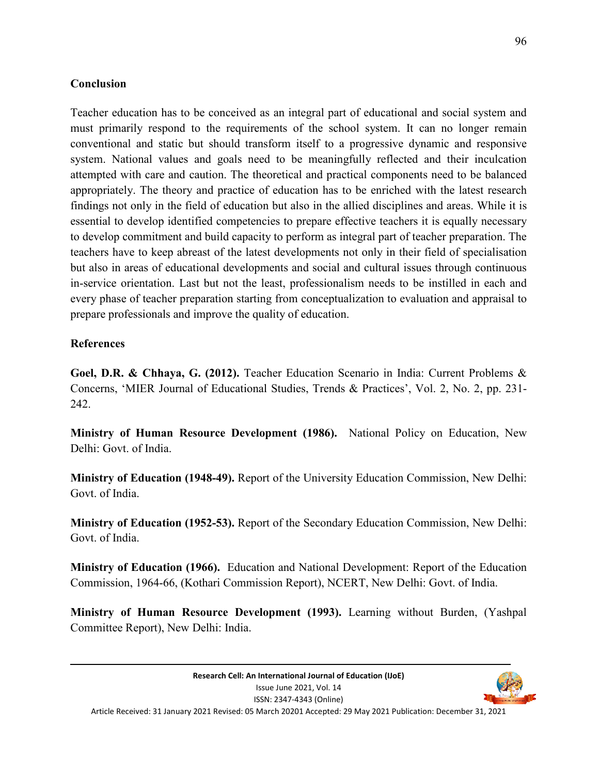#### **Conclusion**

Teacher education has to be conceived as an integral part of educational and social system and must primarily respond to the requirements of the school system. It can no longer remain conventional and static but should transform itself to a progressive dynamic and responsive system. National values and goals need to be meaningfully reflected and their inculcation attempted with care and caution. The theoretical and practical components need to be balanced appropriately. The theory and practice of education has to be enriched with the latest research findings not only in the field of education but also in the allied disciplines and areas. While it is essential to develop identified competencies to prepare effective teachers it is equally necessary to develop commitment and build capacity to perform as integral part of teacher preparation. The teachers have to keep abreast of the latest developments not only in their field of specialisation but also in areas of educational developments and social and cultural issues through continuous in-service orientation. Last but not the least, professionalism needs to be instilled in each and every phase of teacher preparation starting from conceptualization to evaluation and appraisal to prepare professionals and improve the quality of education.

## **References**

**Goel, D.R. & Chhaya, G. (2012).** Teacher Education Scenario in India: Current Problems & Concerns, 'MIER Journal of Educational Studies, Trends & Practices', Vol. 2, No. 2, pp. 231- 242.

**Ministry of Human Resource Development (1986).** National Policy on Education, New Delhi: Govt. of India.

**Ministry of Education (1948-49).** Report of the University Education Commission, New Delhi: Govt. of India.

**Ministry of Education (1952-53).** Report of the Secondary Education Commission, New Delhi: Govt. of India.

**Ministry of Education (1966).** Education and National Development: Report of the Education Commission, 1964-66, (Kothari Commission Report), NCERT, New Delhi: Govt. of India.

**Ministry of Human Resource Development (1993).** Learning without Burden, (Yashpal Committee Report), New Delhi: India.